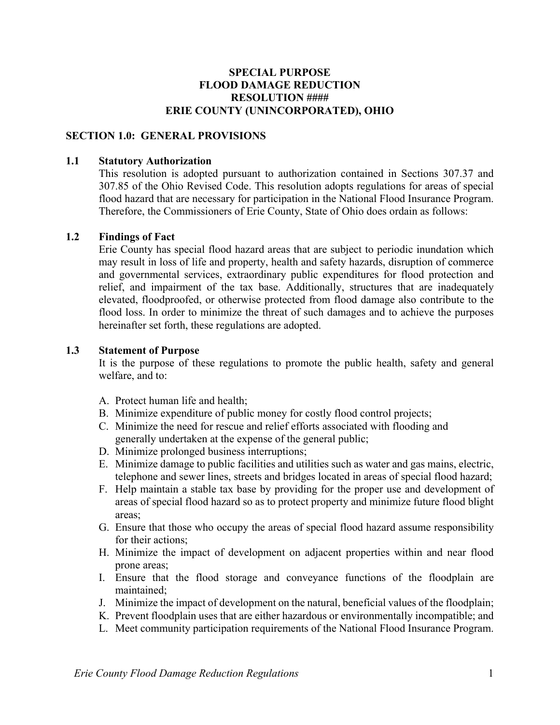### **SPECIAL PURPOSE FLOOD DAMAGE REDUCTION RESOLUTION #### ERIE COUNTY (UNINCORPORATED), OHIO**

### **SECTION 1.0: GENERAL PROVISIONS**

#### **1.1 Statutory Authorization**

This resolution is adopted pursuant to authorization contained in Sections 307.37 and 307.85 of the Ohio Revised Code. This resolution adopts regulations for areas of special flood hazard that are necessary for participation in the National Flood Insurance Program. Therefore, the Commissioners of Erie County, State of Ohio does ordain as follows:

#### **1.2 Findings of Fact**

Erie County has special flood hazard areas that are subject to periodic inundation which may result in loss of life and property, health and safety hazards, disruption of commerce and governmental services, extraordinary public expenditures for flood protection and relief, and impairment of the tax base. Additionally, structures that are inadequately elevated, floodproofed, or otherwise protected from flood damage also contribute to the flood loss. In order to minimize the threat of such damages and to achieve the purposes hereinafter set forth, these regulations are adopted.

#### **1.3 Statement of Purpose**

It is the purpose of these regulations to promote the public health, safety and general welfare, and to:

- A. Protect human life and health;
- B. Minimize expenditure of public money for costly flood control projects;
- C. Minimize the need for rescue and relief efforts associated with flooding and generally undertaken at the expense of the general public;
- D. Minimize prolonged business interruptions;
- E. Minimize damage to public facilities and utilities such as water and gas mains, electric, telephone and sewer lines, streets and bridges located in areas of special flood hazard;
- F. Help maintain a stable tax base by providing for the proper use and development of areas of special flood hazard so as to protect property and minimize future flood blight areas;
- G. Ensure that those who occupy the areas of special flood hazard assume responsibility for their actions;
- H. Minimize the impact of development on adjacent properties within and near flood prone areas;
- I. Ensure that the flood storage and conveyance functions of the floodplain are maintained;
- J. Minimize the impact of development on the natural, beneficial values of the floodplain;
- K. Prevent floodplain uses that are either hazardous or environmentally incompatible; and
- L. Meet community participation requirements of the National Flood Insurance Program.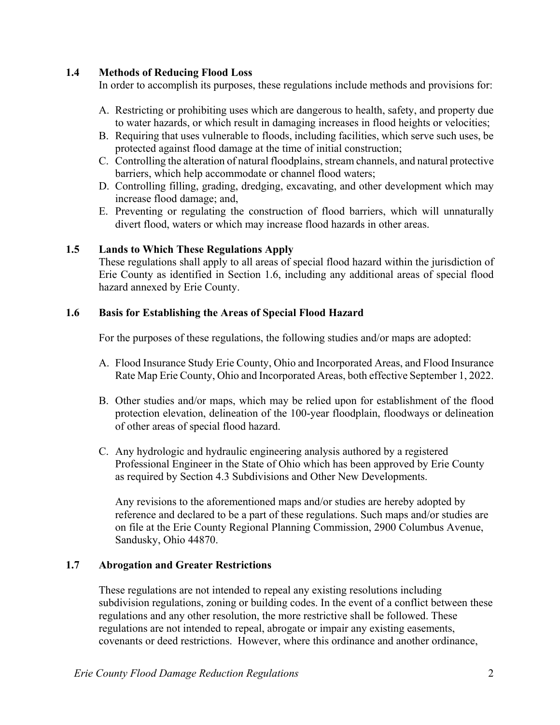### **1.4 Methods of Reducing Flood Loss**

In order to accomplish its purposes, these regulations include methods and provisions for:

- A. Restricting or prohibiting uses which are dangerous to health, safety, and property due to water hazards, or which result in damaging increases in flood heights or velocities;
- B. Requiring that uses vulnerable to floods, including facilities, which serve such uses, be protected against flood damage at the time of initial construction;
- C. Controlling the alteration of natural floodplains, stream channels, and natural protective barriers, which help accommodate or channel flood waters;
- D. Controlling filling, grading, dredging, excavating, and other development which may increase flood damage; and,
- E. Preventing or regulating the construction of flood barriers, which will unnaturally divert flood, waters or which may increase flood hazards in other areas.

#### **1.5 Lands to Which These Regulations Apply**

These regulations shall apply to all areas of special flood hazard within the jurisdiction of Erie County as identified in Section 1.6, including any additional areas of special flood hazard annexed by Erie County.

#### **1.6 Basis for Establishing the Areas of Special Flood Hazard**

For the purposes of these regulations, the following studies and/or maps are adopted:

- A. Flood Insurance Study Erie County, Ohio and Incorporated Areas, and Flood Insurance Rate Map Erie County, Ohio and Incorporated Areas, both effective September 1, 2022.
- B. Other studies and/or maps, which may be relied upon for establishment of the flood protection elevation, delineation of the 100-year floodplain, floodways or delineation of other areas of special flood hazard.
- C. Any hydrologic and hydraulic engineering analysis authored by a registered Professional Engineer in the State of Ohio which has been approved by Erie County as required by Section 4.3 Subdivisions and Other New Developments.

Any revisions to the aforementioned maps and/or studies are hereby adopted by reference and declared to be a part of these regulations. Such maps and/or studies are on file at the Erie County Regional Planning Commission, 2900 Columbus Avenue, Sandusky, Ohio 44870.

### **1.7 Abrogation and Greater Restrictions**

These regulations are not intended to repeal any existing resolutions including subdivision regulations, zoning or building codes. In the event of a conflict between these regulations and any other resolution, the more restrictive shall be followed. These regulations are not intended to repeal, abrogate or impair any existing easements, covenants or deed restrictions. However, where this ordinance and another ordinance,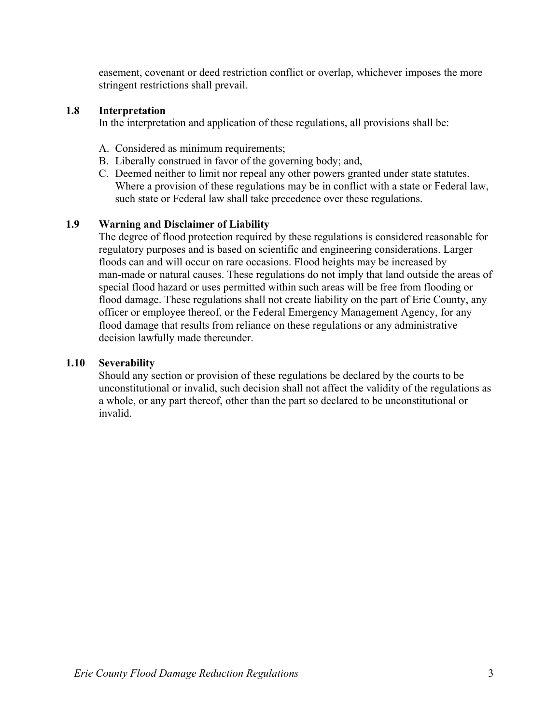easement, covenant or deed restriction conflict or overlap, whichever imposes the more stringent restrictions shall prevail.

## **1.8 Interpretation**

In the interpretation and application of these regulations, all provisions shall be:

- A. Considered as minimum requirements;
- B. Liberally construed in favor of the governing body; and,
- C. Deemed neither to limit nor repeal any other powers granted under state statutes. Where a provision of these regulations may be in conflict with a state or Federal law, such state or Federal law shall take precedence over these regulations.

# **1.9 Warning and Disclaimer of Liability**

The degree of flood protection required by these regulations is considered reasonable for regulatory purposes and is based on scientific and engineering considerations. Larger floods can and will occur on rare occasions. Flood heights may be increased by man-made or natural causes. These regulations do not imply that land outside the areas of special flood hazard or uses permitted within such areas will be free from flooding or flood damage. These regulations shall not create liability on the part of Erie County, any officer or employee thereof, or the Federal Emergency Management Agency, for any flood damage that results from reliance on these regulations or any administrative decision lawfully made thereunder.

#### **1.10 Severability**

Should any section or provision of these regulations be declared by the courts to be unconstitutional or invalid, such decision shall not affect the validity of the regulations as a whole, or any part thereof, other than the part so declared to be unconstitutional or invalid.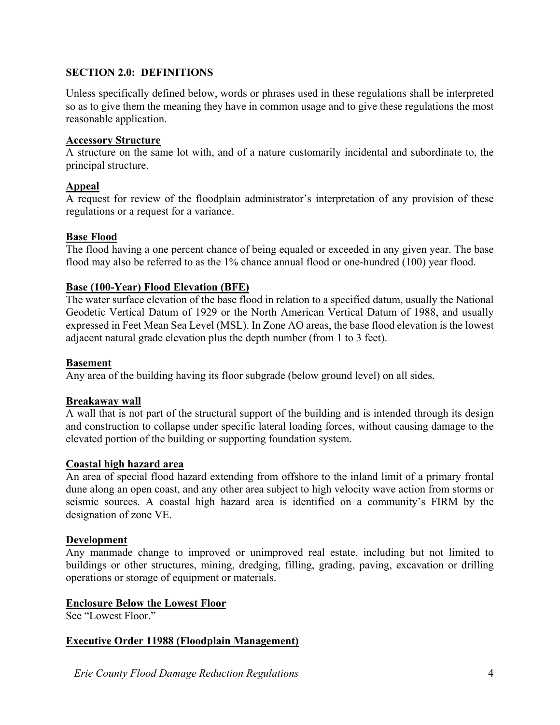# **SECTION 2.0: DEFINITIONS**

Unless specifically defined below, words or phrases used in these regulations shall be interpreted so as to give them the meaning they have in common usage and to give these regulations the most reasonable application.

### **Accessory Structure**

A structure on the same lot with, and of a nature customarily incidental and subordinate to, the principal structure.

# **Appeal**

A request for review of the floodplain administrator's interpretation of any provision of these regulations or a request for a variance.

# **Base Flood**

The flood having a one percent chance of being equaled or exceeded in any given year. The base flood may also be referred to as the 1% chance annual flood or one-hundred (100) year flood.

# **Base (100-Year) Flood Elevation (BFE)**

The water surface elevation of the base flood in relation to a specified datum, usually the National Geodetic Vertical Datum of 1929 or the North American Vertical Datum of 1988, and usually expressed in Feet Mean Sea Level (MSL). In Zone AO areas, the base flood elevation is the lowest adjacent natural grade elevation plus the depth number (from 1 to 3 feet).

## **Basement**

Any area of the building having its floor subgrade (below ground level) on all sides.

# **Breakaway wall**

A wall that is not part of the structural support of the building and is intended through its design and construction to collapse under specific lateral loading forces, without causing damage to the elevated portion of the building or supporting foundation system.

# **Coastal high hazard area**

An area of special flood hazard extending from offshore to the inland limit of a primary frontal dune along an open coast, and any other area subject to high velocity wave action from storms or seismic sources. A coastal high hazard area is identified on a community's FIRM by the designation of zone VE.

#### **Development**

Any manmade change to improved or unimproved real estate, including but not limited to buildings or other structures, mining, dredging, filling, grading, paving, excavation or drilling operations or storage of equipment or materials.

### **Enclosure Below the Lowest Floor**

See "Lowest Floor."

# **Executive Order 11988 (Floodplain Management)**

*Erie County Flood Damage Reduction Regulations* 4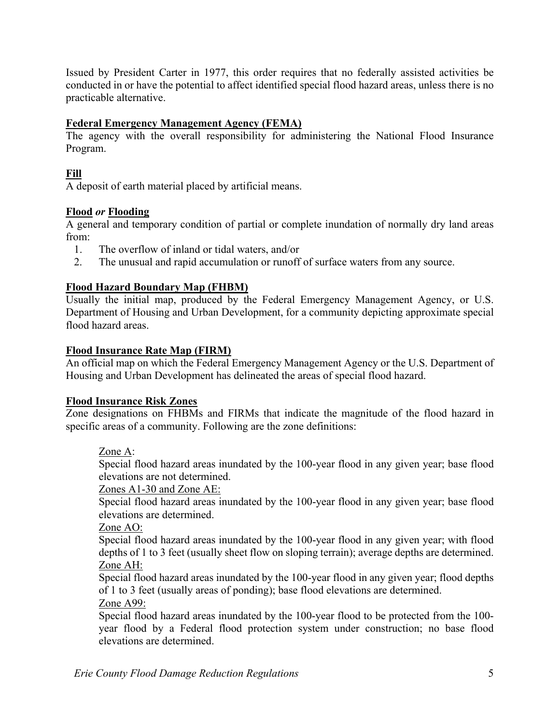Issued by President Carter in 1977, this order requires that no federally assisted activities be conducted in or have the potential to affect identified special flood hazard areas, unless there is no practicable alternative.

## **Federal Emergency Management Agency (FEMA)**

The agency with the overall responsibility for administering the National Flood Insurance Program.

# **Fill**

A deposit of earth material placed by artificial means.

### **Flood** *or* **Flooding**

A general and temporary condition of partial or complete inundation of normally dry land areas from:

- 1. The overflow of inland or tidal waters, and/or
- 2. The unusual and rapid accumulation or runoff of surface waters from any source.

### **Flood Hazard Boundary Map (FHBM)**

Usually the initial map, produced by the Federal Emergency Management Agency, or U.S. Department of Housing and Urban Development, for a community depicting approximate special flood hazard areas.

#### **Flood Insurance Rate Map (FIRM)**

An official map on which the Federal Emergency Management Agency or the U.S. Department of Housing and Urban Development has delineated the areas of special flood hazard.

#### **Flood Insurance Risk Zones**

Zone designations on FHBMs and FIRMs that indicate the magnitude of the flood hazard in specific areas of a community. Following are the zone definitions:

#### Zone A:

 Special flood hazard areas inundated by the 100-year flood in any given year; base flood elevations are not determined.

#### Zones A1-30 and Zone AE:

 Special flood hazard areas inundated by the 100-year flood in any given year; base flood elevations are determined.

#### Zone AO:

 Special flood hazard areas inundated by the 100-year flood in any given year; with flood depths of 1 to 3 feet (usually sheet flow on sloping terrain); average depths are determined. Zone AH:

 Special flood hazard areas inundated by the 100-year flood in any given year; flood depths of 1 to 3 feet (usually areas of ponding); base flood elevations are determined.

Zone A99:

 Special flood hazard areas inundated by the 100-year flood to be protected from the 100 year flood by a Federal flood protection system under construction; no base flood elevations are determined.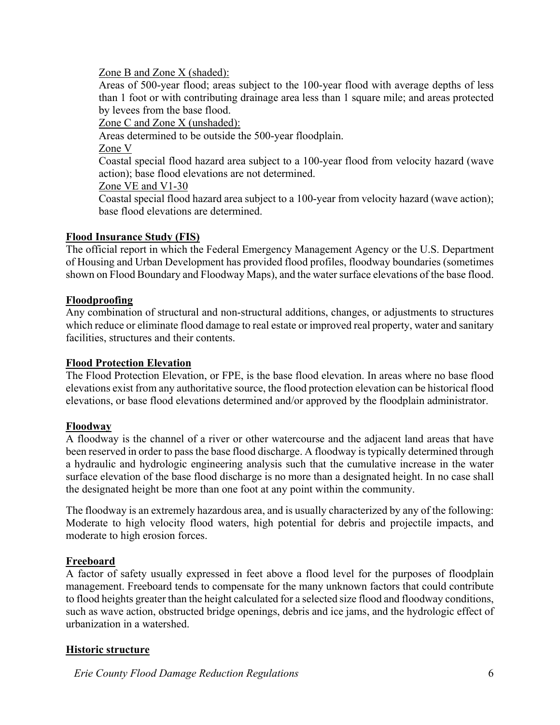### Zone B and Zone X (shaded):

 Areas of 500-year flood; areas subject to the 100-year flood with average depths of less than 1 foot or with contributing drainage area less than 1 square mile; and areas protected by levees from the base flood.

Zone C and Zone X (unshaded):

Areas determined to be outside the 500-year floodplain.

Zone V

 Coastal special flood hazard area subject to a 100-year flood from velocity hazard (wave action); base flood elevations are not determined.

### Zone VE and V1-30

Coastal special flood hazard area subject to a 100-year from velocity hazard (wave action); base flood elevations are determined.

# **Flood Insurance Study (FIS)**

The official report in which the Federal Emergency Management Agency or the U.S. Department of Housing and Urban Development has provided flood profiles, floodway boundaries (sometimes shown on Flood Boundary and Floodway Maps), and the water surface elevations of the base flood.

# **Floodproofing**

Any combination of structural and non-structural additions, changes, or adjustments to structures which reduce or eliminate flood damage to real estate or improved real property, water and sanitary facilities, structures and their contents.

### **Flood Protection Elevation**

The Flood Protection Elevation, or FPE, is the base flood elevation. In areas where no base flood elevations exist from any authoritative source, the flood protection elevation can be historical flood elevations, or base flood elevations determined and/or approved by the floodplain administrator.

# **Floodway**

A floodway is the channel of a river or other watercourse and the adjacent land areas that have been reserved in order to pass the base flood discharge. A floodway is typically determined through a hydraulic and hydrologic engineering analysis such that the cumulative increase in the water surface elevation of the base flood discharge is no more than a designated height. In no case shall the designated height be more than one foot at any point within the community.

The floodway is an extremely hazardous area, and is usually characterized by any of the following: Moderate to high velocity flood waters, high potential for debris and projectile impacts, and moderate to high erosion forces.

# **Freeboard**

A factor of safety usually expressed in feet above a flood level for the purposes of floodplain management. Freeboard tends to compensate for the many unknown factors that could contribute to flood heights greater than the height calculated for a selected size flood and floodway conditions, such as wave action, obstructed bridge openings, debris and ice jams, and the hydrologic effect of urbanization in a watershed.

# **Historic structure**

*Erie County Flood Damage Reduction Regulations* 6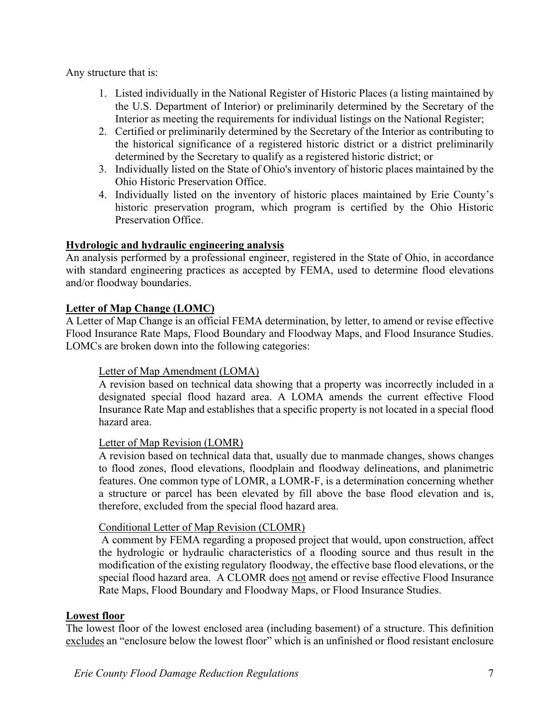Any structure that is:

- 1. Listed individually in the National Register of Historic Places (a listing maintained by the U.S. Department of Interior) or preliminarily determined by the Secretary of the Interior as meeting the requirements for individual listings on the National Register;
- 2. Certified or preliminarily determined by the Secretary of the Interior as contributing to the historical significance of a registered historic district or a district preliminarily determined by the Secretary to qualify as a registered historic district; or
- 3. Individually listed on the State of Ohio's inventory of historic places maintained by the Ohio Historic Preservation Office.
- 4. Individually listed on the inventory of historic places maintained by Erie County's historic preservation program, which program is certified by the Ohio Historic Preservation Office.

# **Hydrologic and hydraulic engineering analysis**

An analysis performed by a professional engineer, registered in the State of Ohio, in accordance with standard engineering practices as accepted by FEMA, used to determine flood elevations and/or floodway boundaries.

### **Letter of Map Change (LOMC)**

A Letter of Map Change is an official FEMA determination, by letter, to amend or revise effective Flood Insurance Rate Maps, Flood Boundary and Floodway Maps, and Flood Insurance Studies. LOMCs are broken down into the following categories:

#### Letter of Map Amendment (LOMA)

A revision based on technical data showing that a property was incorrectly included in a designated special flood hazard area. A LOMA amends the current effective Flood Insurance Rate Map and establishes that a specific property is not located in a special flood hazard area.

#### Letter of Map Revision (LOMR)

A revision based on technical data that, usually due to manmade changes, shows changes to flood zones, flood elevations, floodplain and floodway delineations, and planimetric features. One common type of LOMR, a LOMR-F, is a determination concerning whether a structure or parcel has been elevated by fill above the base flood elevation and is, therefore, excluded from the special flood hazard area.

#### Conditional Letter of Map Revision (CLOMR)

 A comment by FEMA regarding a proposed project that would, upon construction, affect the hydrologic or hydraulic characteristics of a flooding source and thus result in the modification of the existing regulatory floodway, the effective base flood elevations, or the special flood hazard area. A CLOMR does not amend or revise effective Flood Insurance Rate Maps, Flood Boundary and Floodway Maps, or Flood Insurance Studies.

#### **Lowest floor**

The lowest floor of the lowest enclosed area (including basement) of a structure. This definition excludes an "enclosure below the lowest floor" which is an unfinished or flood resistant enclosure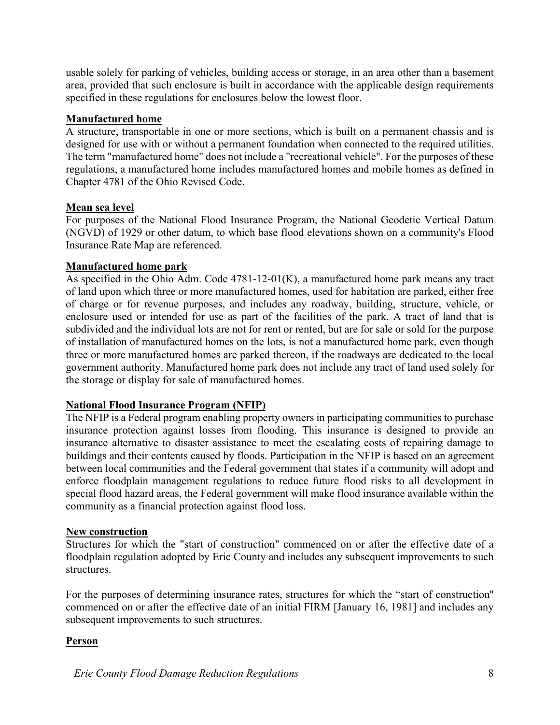usable solely for parking of vehicles, building access or storage, in an area other than a basement area, provided that such enclosure is built in accordance with the applicable design requirements specified in these regulations for enclosures below the lowest floor.

### **Manufactured home**

A structure, transportable in one or more sections, which is built on a permanent chassis and is designed for use with or without a permanent foundation when connected to the required utilities. The term "manufactured home" does not include a "recreational vehicle". For the purposes of these regulations, a manufactured home includes manufactured homes and mobile homes as defined in Chapter 4781 of the Ohio Revised Code.

### **Mean sea level**

For purposes of the National Flood Insurance Program, the National Geodetic Vertical Datum (NGVD) of 1929 or other datum, to which base flood elevations shown on a community's Flood Insurance Rate Map are referenced.

### **Manufactured home park**

As specified in the Ohio Adm. Code 4781-12-01(K), a manufactured home park means any tract of land upon which three or more manufactured homes, used for habitation are parked, either free of charge or for revenue purposes, and includes any roadway, building, structure, vehicle, or enclosure used or intended for use as part of the facilities of the park. A tract of land that is subdivided and the individual lots are not for rent or rented, but are for sale or sold for the purpose of installation of manufactured homes on the lots, is not a manufactured home park, even though three or more manufactured homes are parked thereon, if the roadways are dedicated to the local government authority. Manufactured home park does not include any tract of land used solely for the storage or display for sale of manufactured homes.

# **National Flood Insurance Program (NFIP)**

The NFIP is a Federal program enabling property owners in participating communities to purchase insurance protection against losses from flooding. This insurance is designed to provide an insurance alternative to disaster assistance to meet the escalating costs of repairing damage to buildings and their contents caused by floods. Participation in the NFIP is based on an agreement between local communities and the Federal government that states if a community will adopt and enforce floodplain management regulations to reduce future flood risks to all development in special flood hazard areas, the Federal government will make flood insurance available within the community as a financial protection against flood loss.

#### **New construction**

Structures for which the "start of construction" commenced on or after the effective date of a floodplain regulation adopted by Erie County and includes any subsequent improvements to such structures.

For the purposes of determining insurance rates, structures for which the "start of construction'' commenced on or after the effective date of an initial FIRM [January 16, 1981] and includes any subsequent improvements to such structures.

# **Person**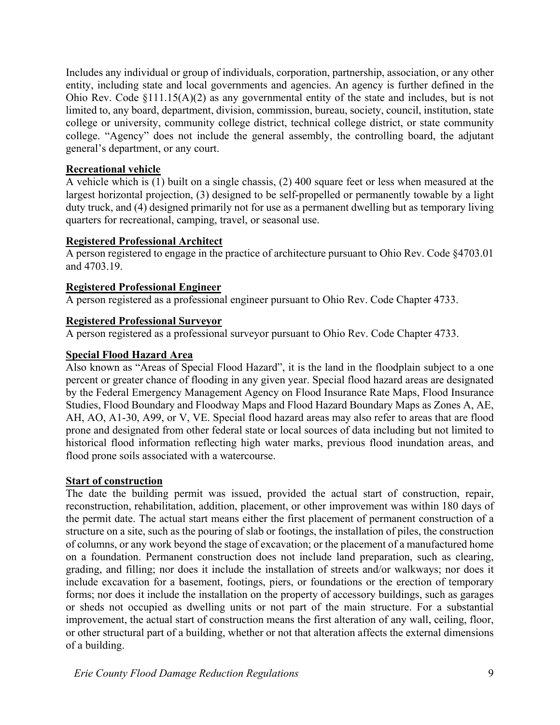Includes any individual or group of individuals, corporation, partnership, association, or any other entity, including state and local governments and agencies. An agency is further defined in the Ohio Rev. Code §111.15(A)(2) as any governmental entity of the state and includes, but is not limited to, any board, department, division, commission, bureau, society, council, institution, state college or university, community college district, technical college district, or state community college. "Agency" does not include the general assembly, the controlling board, the adjutant general's department, or any court.

## **Recreational vehicle**

A vehicle which is (1) built on a single chassis, (2) 400 square feet or less when measured at the largest horizontal projection, (3) designed to be self-propelled or permanently towable by a light duty truck, and (4) designed primarily not for use as a permanent dwelling but as temporary living quarters for recreational, camping, travel, or seasonal use.

#### **Registered Professional Architect**

A person registered to engage in the practice of architecture pursuant to Ohio Rev. Code §4703.01 and 4703.19.

### **Registered Professional Engineer**

A person registered as a professional engineer pursuant to Ohio Rev. Code Chapter 4733.

### **Registered Professional Surveyor**

A person registered as a professional surveyor pursuant to Ohio Rev. Code Chapter 4733.

### **Special Flood Hazard Area**

Also known as "Areas of Special Flood Hazard", it is the land in the floodplain subject to a one percent or greater chance of flooding in any given year. Special flood hazard areas are designated by the Federal Emergency Management Agency on Flood Insurance Rate Maps, Flood Insurance Studies, Flood Boundary and Floodway Maps and Flood Hazard Boundary Maps as Zones A, AE, AH, AO, A1-30, A99, or V, VE. Special flood hazard areas may also refer to areas that are flood prone and designated from other federal state or local sources of data including but not limited to historical flood information reflecting high water marks, previous flood inundation areas, and flood prone soils associated with a watercourse.

# **Start of construction**

The date the building permit was issued, provided the actual start of construction, repair, reconstruction, rehabilitation, addition, placement, or other improvement was within 180 days of the permit date. The actual start means either the first placement of permanent construction of a structure on a site, such as the pouring of slab or footings, the installation of piles, the construction of columns, or any work beyond the stage of excavation; or the placement of a manufactured home on a foundation. Permanent construction does not include land preparation, such as clearing, grading, and filling; nor does it include the installation of streets and/or walkways; nor does it include excavation for a basement, footings, piers, or foundations or the erection of temporary forms; nor does it include the installation on the property of accessory buildings, such as garages or sheds not occupied as dwelling units or not part of the main structure. For a substantial improvement, the actual start of construction means the first alteration of any wall, ceiling, floor, or other structural part of a building, whether or not that alteration affects the external dimensions of a building.

*Erie County Flood Damage Reduction Regulations* 9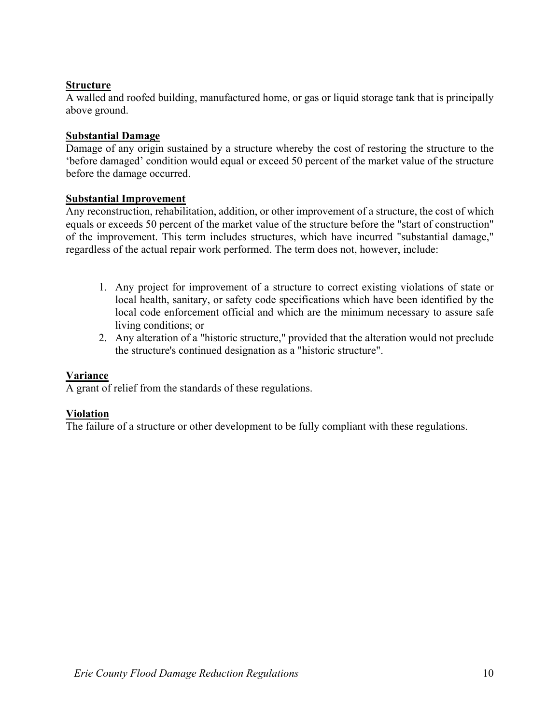# **Structure**

A walled and roofed building, manufactured home, or gas or liquid storage tank that is principally above ground.

# **Substantial Damage**

Damage of any origin sustained by a structure whereby the cost of restoring the structure to the 'before damaged' condition would equal or exceed 50 percent of the market value of the structure before the damage occurred.

### **Substantial Improvement**

Any reconstruction, rehabilitation, addition, or other improvement of a structure, the cost of which equals or exceeds 50 percent of the market value of the structure before the "start of construction" of the improvement. This term includes structures, which have incurred "substantial damage," regardless of the actual repair work performed. The term does not, however, include:

- 1. Any project for improvement of a structure to correct existing violations of state or local health, sanitary, or safety code specifications which have been identified by the local code enforcement official and which are the minimum necessary to assure safe living conditions; or
- 2. Any alteration of a "historic structure," provided that the alteration would not preclude the structure's continued designation as a "historic structure".

# **Variance**

A grant of relief from the standards of these regulations.

#### **Violation**

The failure of a structure or other development to be fully compliant with these regulations.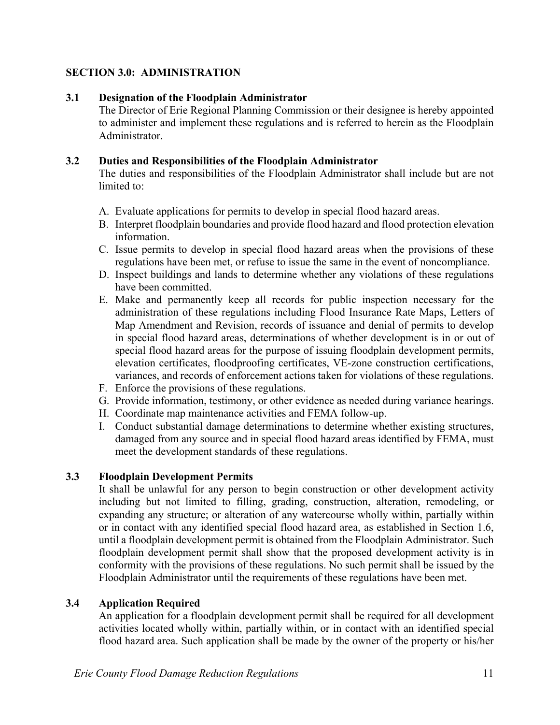# **SECTION 3.0: ADMINISTRATION**

## **3.1 Designation of the Floodplain Administrator**

The Director of Erie Regional Planning Commission or their designee is hereby appointed to administer and implement these regulations and is referred to herein as the Floodplain Administrator.

### **3.2 Duties and Responsibilities of the Floodplain Administrator**

The duties and responsibilities of the Floodplain Administrator shall include but are not limited to:

- A. Evaluate applications for permits to develop in special flood hazard areas.
- B. Interpret floodplain boundaries and provide flood hazard and flood protection elevation information.
- C. Issue permits to develop in special flood hazard areas when the provisions of these regulations have been met, or refuse to issue the same in the event of noncompliance.
- D. Inspect buildings and lands to determine whether any violations of these regulations have been committed.
- E. Make and permanently keep all records for public inspection necessary for the administration of these regulations including Flood Insurance Rate Maps, Letters of Map Amendment and Revision, records of issuance and denial of permits to develop in special flood hazard areas, determinations of whether development is in or out of special flood hazard areas for the purpose of issuing floodplain development permits, elevation certificates, floodproofing certificates, VE-zone construction certifications, variances, and records of enforcement actions taken for violations of these regulations.
- F. Enforce the provisions of these regulations.
- G. Provide information, testimony, or other evidence as needed during variance hearings.
- H. Coordinate map maintenance activities and FEMA follow-up.
- I. Conduct substantial damage determinations to determine whether existing structures, damaged from any source and in special flood hazard areas identified by FEMA, must meet the development standards of these regulations.

# **3.3 Floodplain Development Permits**

It shall be unlawful for any person to begin construction or other development activity including but not limited to filling, grading, construction, alteration, remodeling, or expanding any structure; or alteration of any watercourse wholly within, partially within or in contact with any identified special flood hazard area, as established in Section 1.6, until a floodplain development permit is obtained from the Floodplain Administrator. Such floodplain development permit shall show that the proposed development activity is in conformity with the provisions of these regulations. No such permit shall be issued by the Floodplain Administrator until the requirements of these regulations have been met.

# **3.4 Application Required**

An application for a floodplain development permit shall be required for all development activities located wholly within, partially within, or in contact with an identified special flood hazard area. Such application shall be made by the owner of the property or his/her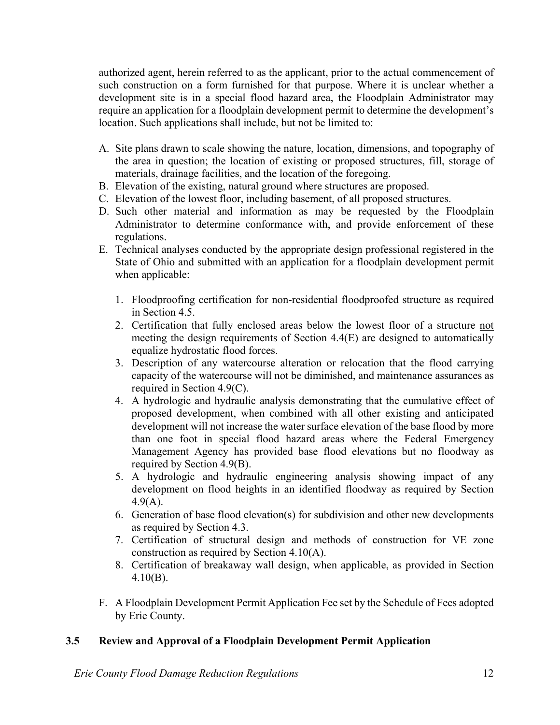authorized agent, herein referred to as the applicant, prior to the actual commencement of such construction on a form furnished for that purpose. Where it is unclear whether a development site is in a special flood hazard area, the Floodplain Administrator may require an application for a floodplain development permit to determine the development's location. Such applications shall include, but not be limited to:

- A. Site plans drawn to scale showing the nature, location, dimensions, and topography of the area in question; the location of existing or proposed structures, fill, storage of materials, drainage facilities, and the location of the foregoing.
- B. Elevation of the existing, natural ground where structures are proposed.
- C. Elevation of the lowest floor, including basement, of all proposed structures.
- D. Such other material and information as may be requested by the Floodplain Administrator to determine conformance with, and provide enforcement of these regulations.
- E. Technical analyses conducted by the appropriate design professional registered in the State of Ohio and submitted with an application for a floodplain development permit when applicable:
	- 1. Floodproofing certification for non-residential floodproofed structure as required in Section 4.5.
	- 2. Certification that fully enclosed areas below the lowest floor of a structure not meeting the design requirements of Section 4.4(E) are designed to automatically equalize hydrostatic flood forces.
	- 3. Description of any watercourse alteration or relocation that the flood carrying capacity of the watercourse will not be diminished, and maintenance assurances as required in Section 4.9(C).
	- 4. A hydrologic and hydraulic analysis demonstrating that the cumulative effect of proposed development, when combined with all other existing and anticipated development will not increase the water surface elevation of the base flood by more than one foot in special flood hazard areas where the Federal Emergency Management Agency has provided base flood elevations but no floodway as required by Section 4.9(B).
	- 5. A hydrologic and hydraulic engineering analysis showing impact of any development on flood heights in an identified floodway as required by Section 4.9(A).
	- 6. Generation of base flood elevation(s) for subdivision and other new developments as required by Section 4.3.
	- 7. Certification of structural design and methods of construction for VE zone construction as required by Section 4.10(A).
	- 8. Certification of breakaway wall design, when applicable, as provided in Section 4.10(B).
- F. A Floodplain Development Permit Application Fee set by the Schedule of Fees adopted by Erie County.

#### **3.5 Review and Approval of a Floodplain Development Permit Application**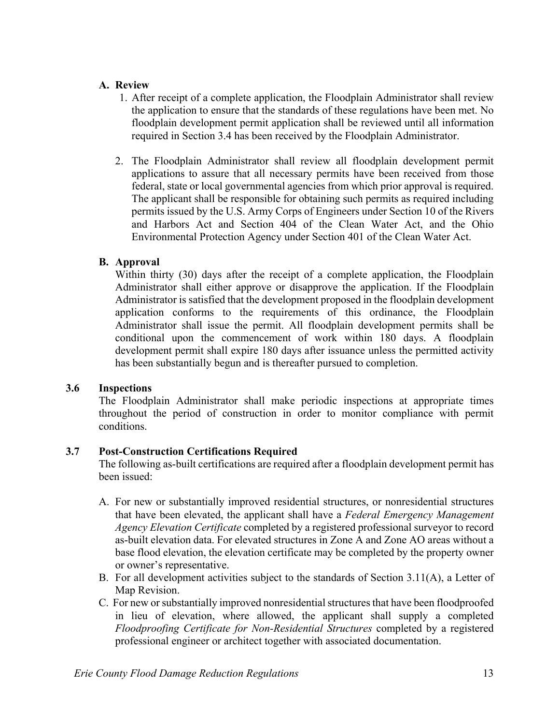### **A. Review**

- 1. After receipt of a complete application, the Floodplain Administrator shall review the application to ensure that the standards of these regulations have been met. No floodplain development permit application shall be reviewed until all information required in Section 3.4 has been received by the Floodplain Administrator.
- 2. The Floodplain Administrator shall review all floodplain development permit applications to assure that all necessary permits have been received from those federal, state or local governmental agencies from which prior approval is required. The applicant shall be responsible for obtaining such permits as required including permits issued by the U.S. Army Corps of Engineers under Section 10 of the Rivers and Harbors Act and Section 404 of the Clean Water Act, and the Ohio Environmental Protection Agency under Section 401 of the Clean Water Act.

# **B. Approval**

Within thirty (30) days after the receipt of a complete application, the Floodplain Administrator shall either approve or disapprove the application. If the Floodplain Administrator is satisfied that the development proposed in the floodplain development application conforms to the requirements of this ordinance, the Floodplain Administrator shall issue the permit. All floodplain development permits shall be conditional upon the commencement of work within 180 days. A floodplain development permit shall expire 180 days after issuance unless the permitted activity has been substantially begun and is thereafter pursued to completion.

# **3.6 Inspections**

The Floodplain Administrator shall make periodic inspections at appropriate times throughout the period of construction in order to monitor compliance with permit conditions.

# **3.7 Post-Construction Certifications Required**

The following as-built certifications are required after a floodplain development permit has been issued:

- A. For new or substantially improved residential structures, or nonresidential structures that have been elevated, the applicant shall have a *Federal Emergency Management Agency Elevation Certificate* completed by a registered professional surveyor to record as-built elevation data. For elevated structures in Zone A and Zone AO areas without a base flood elevation, the elevation certificate may be completed by the property owner or owner's representative.
- B. For all development activities subject to the standards of Section 3.11(A), a Letter of Map Revision.
- C. For new or substantially improved nonresidential structures that have been floodproofed in lieu of elevation, where allowed, the applicant shall supply a completed *Floodproofing Certificate for Non-Residential Structures* completed by a registered professional engineer or architect together with associated documentation.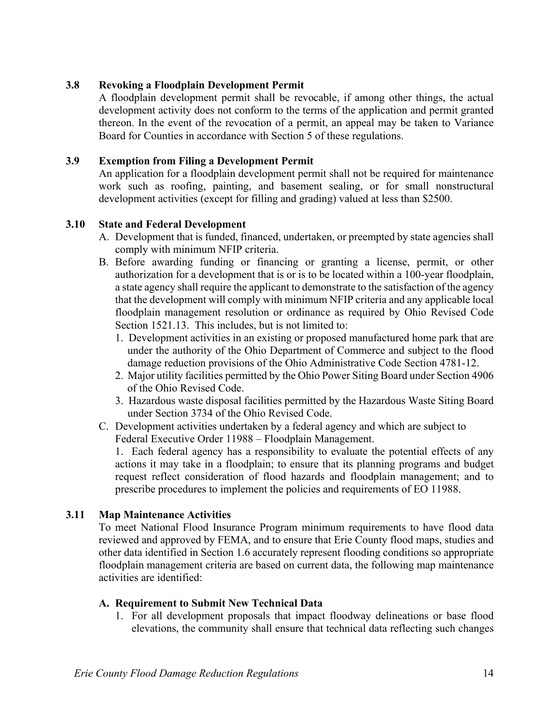## **3.8 Revoking a Floodplain Development Permit**

A floodplain development permit shall be revocable, if among other things, the actual development activity does not conform to the terms of the application and permit granted thereon. In the event of the revocation of a permit, an appeal may be taken to Variance Board for Counties in accordance with Section 5 of these regulations.

## **3.9 Exemption from Filing a Development Permit**

An application for a floodplain development permit shall not be required for maintenance work such as roofing, painting, and basement sealing, or for small nonstructural development activities (except for filling and grading) valued at less than \$2500.

### **3.10 State and Federal Development**

- A. Development that is funded, financed, undertaken, or preempted by state agencies shall comply with minimum NFIP criteria.
- B. Before awarding funding or financing or granting a license, permit, or other authorization for a development that is or is to be located within a 100-year floodplain, a state agency shall require the applicant to demonstrate to the satisfaction of the agency that the development will comply with minimum NFIP criteria and any applicable local floodplain management resolution or ordinance as required by Ohio Revised Code Section 1521.13. This includes, but is not limited to:
	- 1. Development activities in an existing or proposed manufactured home park that are under the authority of the Ohio Department of Commerce and subject to the flood damage reduction provisions of the Ohio Administrative Code Section 4781-12.
	- 2. Major utility facilities permitted by the Ohio Power Siting Board under Section 4906 of the Ohio Revised Code.
	- 3. Hazardous waste disposal facilities permitted by the Hazardous Waste Siting Board under Section 3734 of the Ohio Revised Code.
- C. Development activities undertaken by a federal agency and which are subject to Federal Executive Order 11988 – Floodplain Management.

1. Each federal agency has a responsibility to evaluate the potential effects of any actions it may take in a floodplain; to ensure that its planning programs and budget request reflect consideration of flood hazards and floodplain management; and to prescribe procedures to implement the policies and requirements of EO 11988.

#### **3.11 Map Maintenance Activities**

To meet National Flood Insurance Program minimum requirements to have flood data reviewed and approved by FEMA, and to ensure that Erie County flood maps, studies and other data identified in Section 1.6 accurately represent flooding conditions so appropriate floodplain management criteria are based on current data, the following map maintenance activities are identified:

#### **A. Requirement to Submit New Technical Data**

 1. For all development proposals that impact floodway delineations or base flood elevations, the community shall ensure that technical data reflecting such changes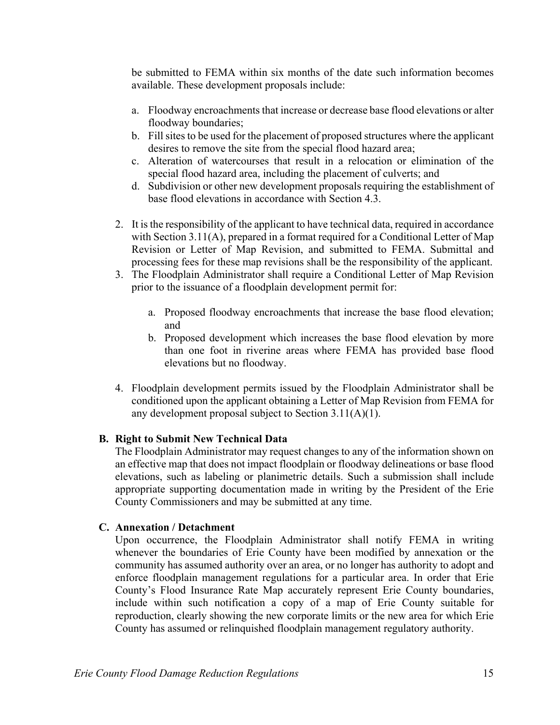be submitted to FEMA within six months of the date such information becomes available. These development proposals include:

- a. Floodway encroachments that increase or decrease base flood elevations or alter floodway boundaries;
- b. Fill sites to be used for the placement of proposed structures where the applicant desires to remove the site from the special flood hazard area;
- c. Alteration of watercourses that result in a relocation or elimination of the special flood hazard area, including the placement of culverts; and
- d. Subdivision or other new development proposals requiring the establishment of base flood elevations in accordance with Section 4.3.
- 2. It is the responsibility of the applicant to have technical data, required in accordance with Section 3.11(A), prepared in a format required for a Conditional Letter of Map Revision or Letter of Map Revision, and submitted to FEMA. Submittal and processing fees for these map revisions shall be the responsibility of the applicant.
- 3. The Floodplain Administrator shall require a Conditional Letter of Map Revision prior to the issuance of a floodplain development permit for:
	- a. Proposed floodway encroachments that increase the base flood elevation; and
	- b. Proposed development which increases the base flood elevation by more than one foot in riverine areas where FEMA has provided base flood elevations but no floodway.
- 4. Floodplain development permits issued by the Floodplain Administrator shall be conditioned upon the applicant obtaining a Letter of Map Revision from FEMA for any development proposal subject to Section 3.11(A)(1).

#### **B. Right to Submit New Technical Data**

The Floodplain Administrator may request changes to any of the information shown on an effective map that does not impact floodplain or floodway delineations or base flood elevations, such as labeling or planimetric details. Such a submission shall include appropriate supporting documentation made in writing by the President of the Erie County Commissioners and may be submitted at any time.

#### **C. Annexation / Detachment**

Upon occurrence, the Floodplain Administrator shall notify FEMA in writing whenever the boundaries of Erie County have been modified by annexation or the community has assumed authority over an area, or no longer has authority to adopt and enforce floodplain management regulations for a particular area. In order that Erie County's Flood Insurance Rate Map accurately represent Erie County boundaries, include within such notification a copy of a map of Erie County suitable for reproduction, clearly showing the new corporate limits or the new area for which Erie County has assumed or relinquished floodplain management regulatory authority.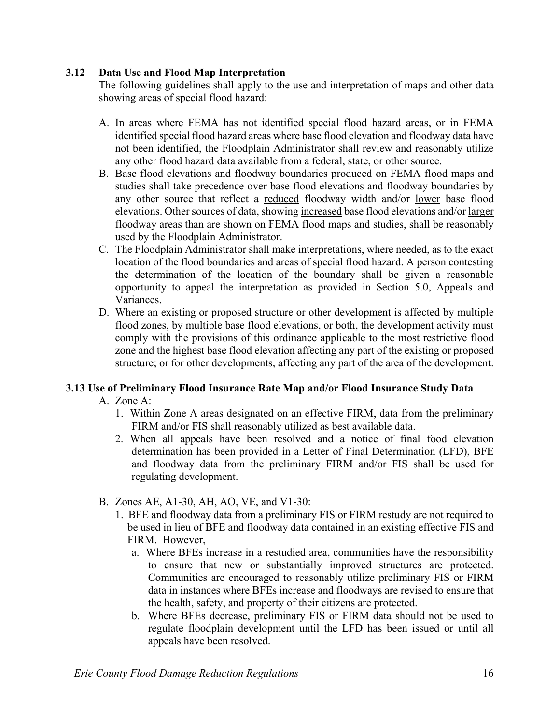# **3.12 Data Use and Flood Map Interpretation**

The following guidelines shall apply to the use and interpretation of maps and other data showing areas of special flood hazard:

- A. In areas where FEMA has not identified special flood hazard areas, or in FEMA identified special flood hazard areas where base flood elevation and floodway data have not been identified, the Floodplain Administrator shall review and reasonably utilize any other flood hazard data available from a federal, state, or other source.
- B. Base flood elevations and floodway boundaries produced on FEMA flood maps and studies shall take precedence over base flood elevations and floodway boundaries by any other source that reflect a reduced floodway width and/or lower base flood elevations. Other sources of data, showing increased base flood elevations and/or larger floodway areas than are shown on FEMA flood maps and studies, shall be reasonably used by the Floodplain Administrator.
- C. The Floodplain Administrator shall make interpretations, where needed, as to the exact location of the flood boundaries and areas of special flood hazard. A person contesting the determination of the location of the boundary shall be given a reasonable opportunity to appeal the interpretation as provided in Section 5.0, Appeals and Variances.
- D. Where an existing or proposed structure or other development is affected by multiple flood zones, by multiple base flood elevations, or both, the development activity must comply with the provisions of this ordinance applicable to the most restrictive flood zone and the highest base flood elevation affecting any part of the existing or proposed structure; or for other developments, affecting any part of the area of the development.

# **3.13 Use of Preliminary Flood Insurance Rate Map and/or Flood Insurance Study Data**

- A. Zone A:
	- 1. Within Zone A areas designated on an effective FIRM, data from the preliminary FIRM and/or FIS shall reasonably utilized as best available data.
	- 2. When all appeals have been resolved and a notice of final food elevation determination has been provided in a Letter of Final Determination (LFD), BFE and floodway data from the preliminary FIRM and/or FIS shall be used for regulating development.
- B. Zones AE, A1-30, AH, AO, VE, and V1-30:
	- 1. BFE and floodway data from a preliminary FIS or FIRM restudy are not required to be used in lieu of BFE and floodway data contained in an existing effective FIS and FIRM. However,
		- a. Where BFEs increase in a restudied area, communities have the responsibility to ensure that new or substantially improved structures are protected. Communities are encouraged to reasonably utilize preliminary FIS or FIRM data in instances where BFEs increase and floodways are revised to ensure that the health, safety, and property of their citizens are protected.
		- b. Where BFEs decrease, preliminary FIS or FIRM data should not be used to regulate floodplain development until the LFD has been issued or until all appeals have been resolved.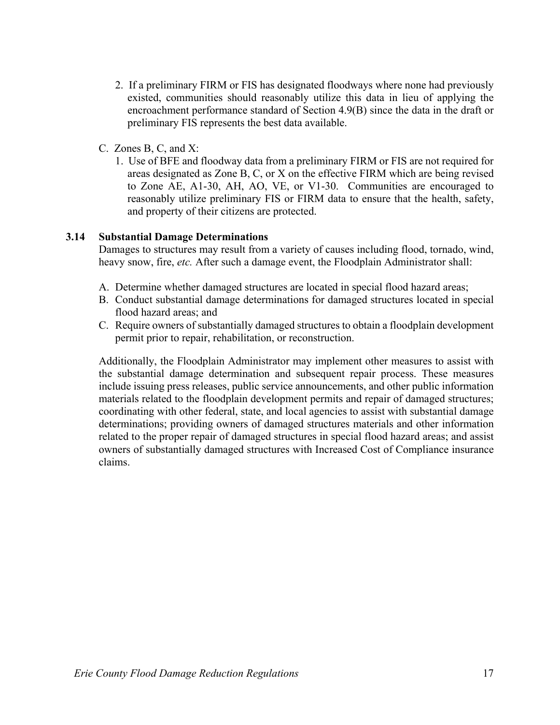- 2. If a preliminary FIRM or FIS has designated floodways where none had previously existed, communities should reasonably utilize this data in lieu of applying the encroachment performance standard of Section 4.9(B) since the data in the draft or preliminary FIS represents the best data available.
- C. Zones B, C, and X:
	- 1. Use of BFE and floodway data from a preliminary FIRM or FIS are not required for areas designated as Zone B, C, or X on the effective FIRM which are being revised to Zone AE, A1-30, AH, AO, VE, or V1-30. Communities are encouraged to reasonably utilize preliminary FIS or FIRM data to ensure that the health, safety, and property of their citizens are protected.

# **3.14 Substantial Damage Determinations**

 Damages to structures may result from a variety of causes including flood, tornado, wind, heavy snow, fire, *etc.* After such a damage event, the Floodplain Administrator shall:

- A. Determine whether damaged structures are located in special flood hazard areas;
- B. Conduct substantial damage determinations for damaged structures located in special flood hazard areas; and
- C. Require owners of substantially damaged structures to obtain a floodplain development permit prior to repair, rehabilitation, or reconstruction.

 Additionally, the Floodplain Administrator may implement other measures to assist with the substantial damage determination and subsequent repair process. These measures include issuing press releases, public service announcements, and other public information materials related to the floodplain development permits and repair of damaged structures; coordinating with other federal, state, and local agencies to assist with substantial damage determinations; providing owners of damaged structures materials and other information related to the proper repair of damaged structures in special flood hazard areas; and assist owners of substantially damaged structures with Increased Cost of Compliance insurance claims.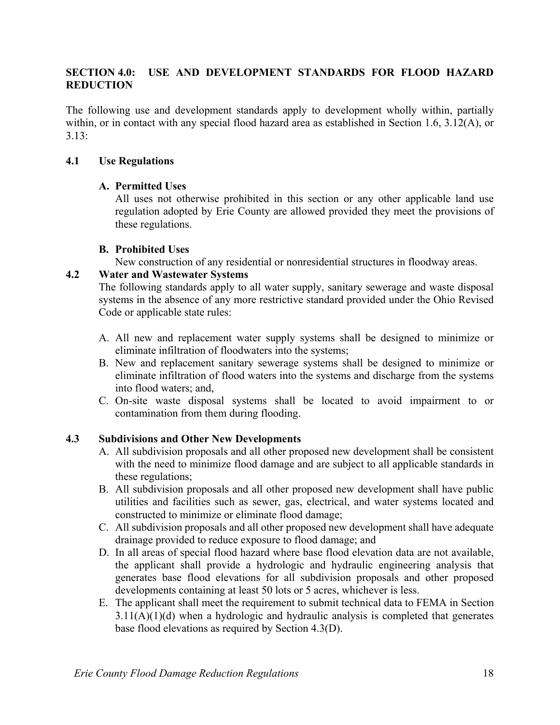# **SECTION 4.0: USE AND DEVELOPMENT STANDARDS FOR FLOOD HAZARD REDUCTION**

The following use and development standards apply to development wholly within, partially within, or in contact with any special flood hazard area as established in Section 1.6, 3.12(A), or 3.13:

### **4.1 Use Regulations**

### **A. Permitted Uses**

All uses not otherwise prohibited in this section or any other applicable land use regulation adopted by Erie County are allowed provided they meet the provisions of these regulations.

### **B. Prohibited Uses**

New construction of any residential or nonresidential structures in floodway areas.

### **4.2 Water and Wastewater Systems**

The following standards apply to all water supply, sanitary sewerage and waste disposal systems in the absence of any more restrictive standard provided under the Ohio Revised Code or applicable state rules:

- A. All new and replacement water supply systems shall be designed to minimize or eliminate infiltration of floodwaters into the systems;
- B. New and replacement sanitary sewerage systems shall be designed to minimize or eliminate infiltration of flood waters into the systems and discharge from the systems into flood waters; and,
- C. On-site waste disposal systems shall be located to avoid impairment to or contamination from them during flooding.

# **4.3 Subdivisions and Other New Developments**

- A. All subdivision proposals and all other proposed new development shall be consistent with the need to minimize flood damage and are subject to all applicable standards in these regulations;
- B. All subdivision proposals and all other proposed new development shall have public utilities and facilities such as sewer, gas, electrical, and water systems located and constructed to minimize or eliminate flood damage;
- C. All subdivision proposals and all other proposed new development shall have adequate drainage provided to reduce exposure to flood damage; and
- D. In all areas of special flood hazard where base flood elevation data are not available, the applicant shall provide a hydrologic and hydraulic engineering analysis that generates base flood elevations for all subdivision proposals and other proposed developments containing at least 50 lots or 5 acres, whichever is less.
- E. The applicant shall meet the requirement to submit technical data to FEMA in Section  $3.11(A)(1)(d)$  when a hydrologic and hydraulic analysis is completed that generates base flood elevations as required by Section 4.3(D).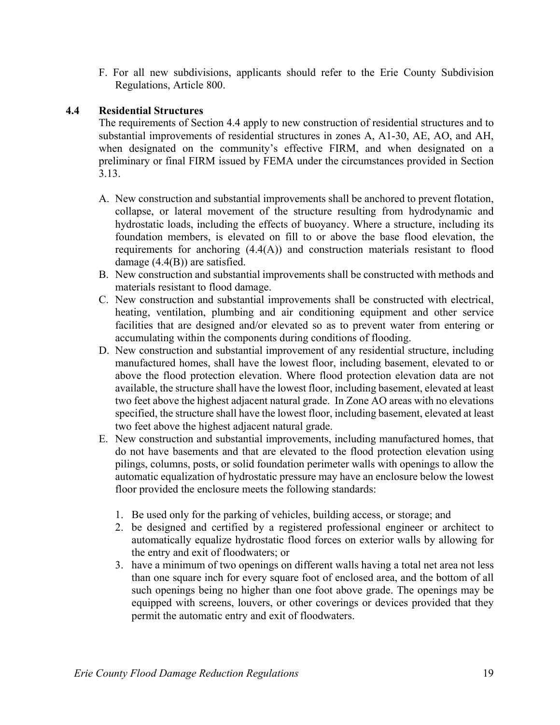F. For all new subdivisions, applicants should refer to the Erie County Subdivision Regulations, Article 800.

## **4.4 Residential Structures**

The requirements of Section 4.4 apply to new construction of residential structures and to substantial improvements of residential structures in zones A, A1-30, AE, AO, and AH, when designated on the community's effective FIRM, and when designated on a preliminary or final FIRM issued by FEMA under the circumstances provided in Section 3.13.

- A. New construction and substantial improvements shall be anchored to prevent flotation, collapse, or lateral movement of the structure resulting from hydrodynamic and hydrostatic loads, including the effects of buoyancy. Where a structure, including its foundation members, is elevated on fill to or above the base flood elevation, the requirements for anchoring (4.4(A)) and construction materials resistant to flood damage (4.4(B)) are satisfied.
- B. New construction and substantial improvements shall be constructed with methods and materials resistant to flood damage.
- C. New construction and substantial improvements shall be constructed with electrical, heating, ventilation, plumbing and air conditioning equipment and other service facilities that are designed and/or elevated so as to prevent water from entering or accumulating within the components during conditions of flooding.
- D. New construction and substantial improvement of any residential structure, including manufactured homes, shall have the lowest floor, including basement, elevated to or above the flood protection elevation. Where flood protection elevation data are not available, the structure shall have the lowest floor, including basement, elevated at least two feet above the highest adjacent natural grade. In Zone AO areas with no elevations specified, the structure shall have the lowest floor, including basement, elevated at least two feet above the highest adjacent natural grade.
- E. New construction and substantial improvements, including manufactured homes, that do not have basements and that are elevated to the flood protection elevation using pilings, columns, posts, or solid foundation perimeter walls with openings to allow the automatic equalization of hydrostatic pressure may have an enclosure below the lowest floor provided the enclosure meets the following standards:
	- 1. Be used only for the parking of vehicles, building access, or storage; and
	- 2. be designed and certified by a registered professional engineer or architect to automatically equalize hydrostatic flood forces on exterior walls by allowing for the entry and exit of floodwaters; or
	- 3. have a minimum of two openings on different walls having a total net area not less than one square inch for every square foot of enclosed area, and the bottom of all such openings being no higher than one foot above grade. The openings may be equipped with screens, louvers, or other coverings or devices provided that they permit the automatic entry and exit of floodwaters.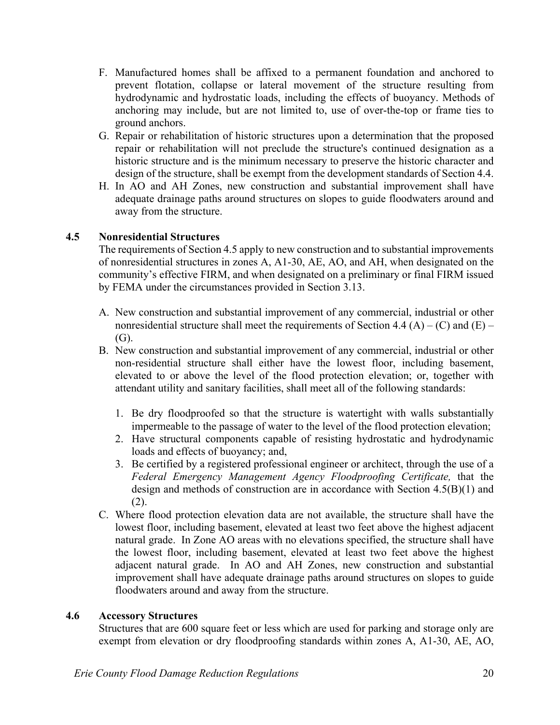- F. Manufactured homes shall be affixed to a permanent foundation and anchored to prevent flotation, collapse or lateral movement of the structure resulting from hydrodynamic and hydrostatic loads, including the effects of buoyancy. Methods of anchoring may include, but are not limited to, use of over-the-top or frame ties to ground anchors.
- G. Repair or rehabilitation of historic structures upon a determination that the proposed repair or rehabilitation will not preclude the structure's continued designation as a historic structure and is the minimum necessary to preserve the historic character and design of the structure, shall be exempt from the development standards of Section 4.4.
- H. In AO and AH Zones, new construction and substantial improvement shall have adequate drainage paths around structures on slopes to guide floodwaters around and away from the structure.

# **4.5 Nonresidential Structures**

The requirements of Section 4.5 apply to new construction and to substantial improvements of nonresidential structures in zones A, A1-30, AE, AO, and AH, when designated on the community's effective FIRM, and when designated on a preliminary or final FIRM issued by FEMA under the circumstances provided in Section 3.13.

- A. New construction and substantial improvement of any commercial, industrial or other nonresidential structure shall meet the requirements of Section 4.4 (A) – (C) and (E) – (G).
- B. New construction and substantial improvement of any commercial, industrial or other non-residential structure shall either have the lowest floor, including basement, elevated to or above the level of the flood protection elevation; or, together with attendant utility and sanitary facilities, shall meet all of the following standards:
	- 1. Be dry floodproofed so that the structure is watertight with walls substantially impermeable to the passage of water to the level of the flood protection elevation;
	- 2. Have structural components capable of resisting hydrostatic and hydrodynamic loads and effects of buoyancy; and,
	- 3. Be certified by a registered professional engineer or architect, through the use of a *Federal Emergency Management Agency Floodproofing Certificate,* that the design and methods of construction are in accordance with Section 4.5(B)(1) and (2).
- C. Where flood protection elevation data are not available, the structure shall have the lowest floor, including basement, elevated at least two feet above the highest adjacent natural grade. In Zone AO areas with no elevations specified, the structure shall have the lowest floor, including basement, elevated at least two feet above the highest adjacent natural grade. In AO and AH Zones, new construction and substantial improvement shall have adequate drainage paths around structures on slopes to guide floodwaters around and away from the structure.

# **4.6 Accessory Structures**

Structures that are 600 square feet or less which are used for parking and storage only are exempt from elevation or dry floodproofing standards within zones A, A1-30, AE, AO,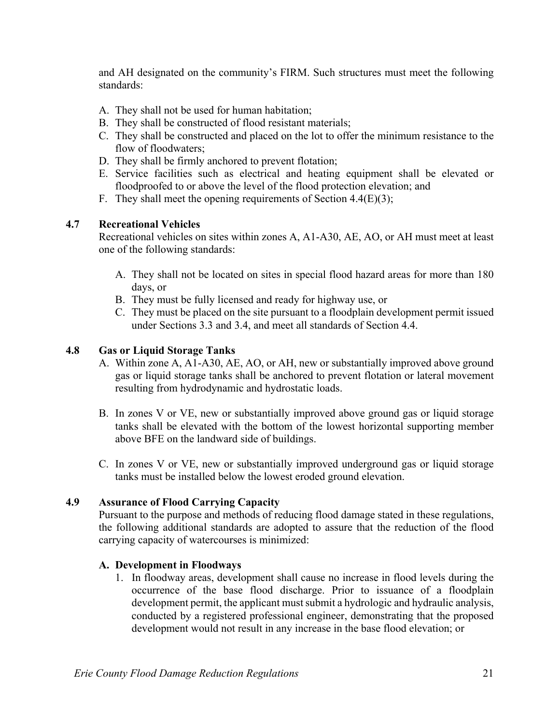and AH designated on the community's FIRM. Such structures must meet the following standards:

- A. They shall not be used for human habitation;
- B. They shall be constructed of flood resistant materials;
- C. They shall be constructed and placed on the lot to offer the minimum resistance to the flow of floodwaters;
- D. They shall be firmly anchored to prevent flotation;
- E. Service facilities such as electrical and heating equipment shall be elevated or floodproofed to or above the level of the flood protection elevation; and
- F. They shall meet the opening requirements of Section 4.4(E)(3);

### **4.7 Recreational Vehicles**

Recreational vehicles on sites within zones A, A1-A30, AE, AO, or AH must meet at least one of the following standards:

- A. They shall not be located on sites in special flood hazard areas for more than 180 days, or
- B. They must be fully licensed and ready for highway use, or
- C. They must be placed on the site pursuant to a floodplain development permit issued under Sections 3.3 and 3.4, and meet all standards of Section 4.4.

#### **4.8 Gas or Liquid Storage Tanks**

- A. Within zone A, A1-A30, AE, AO, or AH, new or substantially improved above ground gas or liquid storage tanks shall be anchored to prevent flotation or lateral movement resulting from hydrodynamic and hydrostatic loads.
- B. In zones V or VE, new or substantially improved above ground gas or liquid storage tanks shall be elevated with the bottom of the lowest horizontal supporting member above BFE on the landward side of buildings.
- C. In zones V or VE, new or substantially improved underground gas or liquid storage tanks must be installed below the lowest eroded ground elevation.

#### **4.9 Assurance of Flood Carrying Capacity**

Pursuant to the purpose and methods of reducing flood damage stated in these regulations, the following additional standards are adopted to assure that the reduction of the flood carrying capacity of watercourses is minimized:

#### **A. Development in Floodways**

1. In floodway areas, development shall cause no increase in flood levels during the occurrence of the base flood discharge. Prior to issuance of a floodplain development permit, the applicant must submit a hydrologic and hydraulic analysis, conducted by a registered professional engineer, demonstrating that the proposed development would not result in any increase in the base flood elevation; or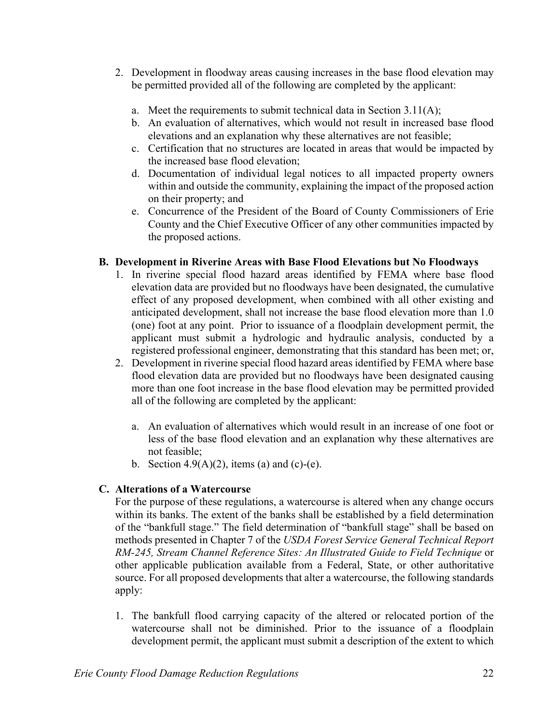- 2. Development in floodway areas causing increases in the base flood elevation may be permitted provided all of the following are completed by the applicant:
	- a. Meet the requirements to submit technical data in Section 3.11(A);
	- b. An evaluation of alternatives, which would not result in increased base flood elevations and an explanation why these alternatives are not feasible;
	- c. Certification that no structures are located in areas that would be impacted by the increased base flood elevation;
	- d. Documentation of individual legal notices to all impacted property owners within and outside the community, explaining the impact of the proposed action on their property; and
	- e. Concurrence of the President of the Board of County Commissioners of Erie County and the Chief Executive Officer of any other communities impacted by the proposed actions.

### **B. Development in Riverine Areas with Base Flood Elevations but No Floodways**

- 1. In riverine special flood hazard areas identified by FEMA where base flood elevation data are provided but no floodways have been designated, the cumulative effect of any proposed development, when combined with all other existing and anticipated development, shall not increase the base flood elevation more than 1.0 (one) foot at any point. Prior to issuance of a floodplain development permit, the applicant must submit a hydrologic and hydraulic analysis, conducted by a registered professional engineer, demonstrating that this standard has been met; or,
- 2. Development in riverine special flood hazard areas identified by FEMA where base flood elevation data are provided but no floodways have been designated causing more than one foot increase in the base flood elevation may be permitted provided all of the following are completed by the applicant:
	- a. An evaluation of alternatives which would result in an increase of one foot or less of the base flood elevation and an explanation why these alternatives are not feasible;
	- b. Section  $4.9(A)(2)$ , items (a) and (c)-(e).

# **C. Alterations of a Watercourse**

For the purpose of these regulations, a watercourse is altered when any change occurs within its banks. The extent of the banks shall be established by a field determination of the "bankfull stage." The field determination of "bankfull stage" shall be based on methods presented in Chapter 7 of the *USDA Forest Service General Technical Report RM-245, Stream Channel Reference Sites: An Illustrated Guide to Field Technique* or other applicable publication available from a Federal, State, or other authoritative source. For all proposed developments that alter a watercourse, the following standards apply:

 1. The bankfull flood carrying capacity of the altered or relocated portion of the watercourse shall not be diminished. Prior to the issuance of a floodplain development permit, the applicant must submit a description of the extent to which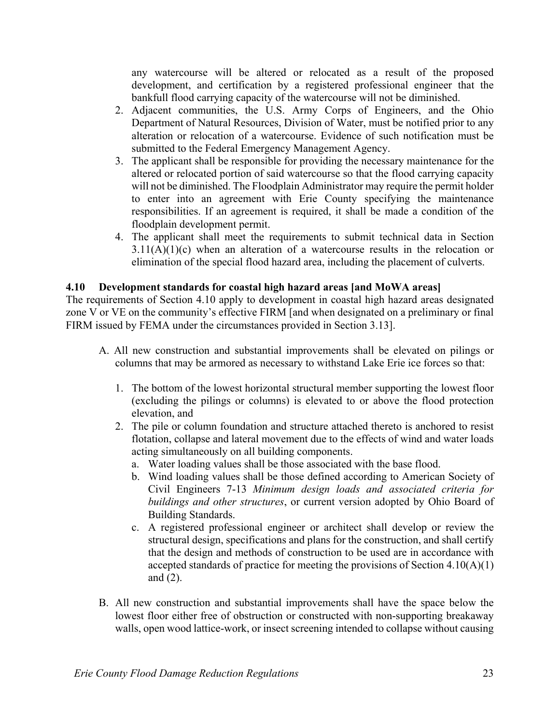any watercourse will be altered or relocated as a result of the proposed development, and certification by a registered professional engineer that the bankfull flood carrying capacity of the watercourse will not be diminished.

- 2. Adjacent communities, the U.S. Army Corps of Engineers, and the Ohio Department of Natural Resources, Division of Water, must be notified prior to any alteration or relocation of a watercourse. Evidence of such notification must be submitted to the Federal Emergency Management Agency.
- 3. The applicant shall be responsible for providing the necessary maintenance for the altered or relocated portion of said watercourse so that the flood carrying capacity will not be diminished. The Floodplain Administrator may require the permit holder to enter into an agreement with Erie County specifying the maintenance responsibilities. If an agreement is required, it shall be made a condition of the floodplain development permit.
- 4. The applicant shall meet the requirements to submit technical data in Section  $3.11(A)(1)(c)$  when an alteration of a watercourse results in the relocation or elimination of the special flood hazard area, including the placement of culverts.

### **4.10 Development standards for coastal high hazard areas [and MoWA areas]**

The requirements of Section 4.10 apply to development in coastal high hazard areas designated zone V or VE on the community's effective FIRM [and when designated on a preliminary or final FIRM issued by FEMA under the circumstances provided in Section 3.13].

- A. All new construction and substantial improvements shall be elevated on pilings or columns that may be armored as necessary to withstand Lake Erie ice forces so that:
	- 1. The bottom of the lowest horizontal structural member supporting the lowest floor (excluding the pilings or columns) is elevated to or above the flood protection elevation, and
	- 2. The pile or column foundation and structure attached thereto is anchored to resist flotation, collapse and lateral movement due to the effects of wind and water loads acting simultaneously on all building components.
		- a. Water loading values shall be those associated with the base flood.
		- b. Wind loading values shall be those defined according to American Society of Civil Engineers 7-13 *Minimum design loads and associated criteria for buildings and other structures*, or current version adopted by Ohio Board of Building Standards.
		- c. A registered professional engineer or architect shall develop or review the structural design, specifications and plans for the construction, and shall certify that the design and methods of construction to be used are in accordance with accepted standards of practice for meeting the provisions of Section  $4.10(A)(1)$ and (2).
- B. All new construction and substantial improvements shall have the space below the lowest floor either free of obstruction or constructed with non-supporting breakaway walls, open wood lattice-work, or insect screening intended to collapse without causing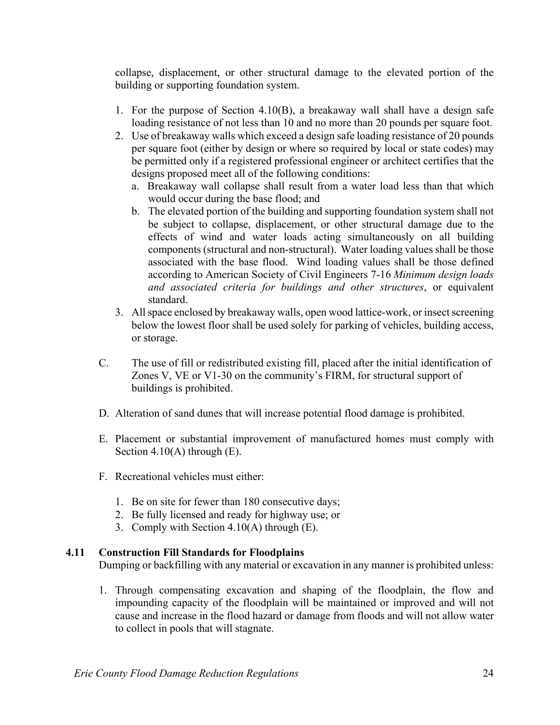collapse, displacement, or other structural damage to the elevated portion of the building or supporting foundation system.

- 1. For the purpose of Section 4.10(B), a breakaway wall shall have a design safe loading resistance of not less than 10 and no more than 20 pounds per square foot.
- 2. Use of breakaway walls which exceed a design safe loading resistance of 20 pounds per square foot (either by design or where so required by local or state codes) may be permitted only if a registered professional engineer or architect certifies that the designs proposed meet all of the following conditions:
	- a. Breakaway wall collapse shall result from a water load less than that which would occur during the base flood; and
	- b. The elevated portion of the building and supporting foundation system shall not be subject to collapse, displacement, or other structural damage due to the effects of wind and water loads acting simultaneously on all building components (structural and non-structural). Water loading values shall be those associated with the base flood. Wind loading values shall be those defined according to American Society of Civil Engineers 7-16 *Minimum design loads and associated criteria for buildings and other structures*, or equivalent standard.
- 3. All space enclosed by breakaway walls, open wood lattice-work, or insect screening below the lowest floor shall be used solely for parking of vehicles, building access, or storage.
- C. The use of fill or redistributed existing fill, placed after the initial identification of Zones V, VE or V1-30 on the community's FIRM, for structural support of buildings is prohibited.
- D. Alteration of sand dunes that will increase potential flood damage is prohibited.
- E. Placement or substantial improvement of manufactured homes must comply with Section 4.10(A) through (E).
- F. Recreational vehicles must either:
	- 1. Be on site for fewer than 180 consecutive days;
	- 2. Be fully licensed and ready for highway use; or
	- 3. Comply with Section 4.10(A) through (E).

#### **4.11 Construction Fill Standards for Floodplains**

Dumping or backfilling with any material or excavation in any manner is prohibited unless:

1. Through compensating excavation and shaping of the floodplain, the flow and impounding capacity of the floodplain will be maintained or improved and will not cause and increase in the flood hazard or damage from floods and will not allow water to collect in pools that will stagnate.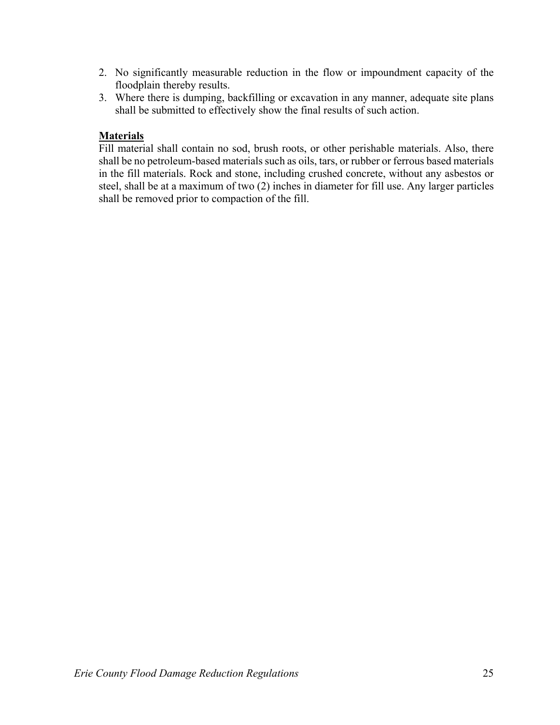- 2. No significantly measurable reduction in the flow or impoundment capacity of the floodplain thereby results.
- 3. Where there is dumping, backfilling or excavation in any manner, adequate site plans shall be submitted to effectively show the final results of such action.

# **Materials**

Fill material shall contain no sod, brush roots, or other perishable materials. Also, there shall be no petroleum-based materials such as oils, tars, or rubber or ferrous based materials in the fill materials. Rock and stone, including crushed concrete, without any asbestos or steel, shall be at a maximum of two (2) inches in diameter for fill use. Any larger particles shall be removed prior to compaction of the fill.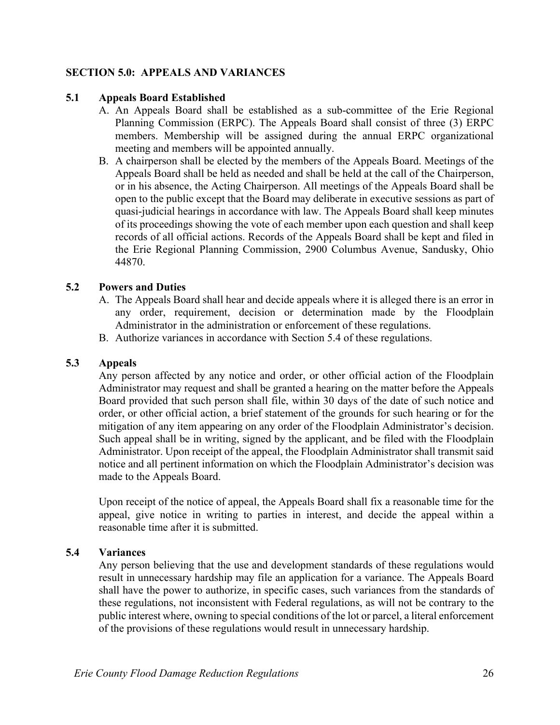## **SECTION 5.0: APPEALS AND VARIANCES**

#### **5.1 Appeals Board Established**

- A. An Appeals Board shall be established as a sub-committee of the Erie Regional Planning Commission (ERPC). The Appeals Board shall consist of three (3) ERPC members. Membership will be assigned during the annual ERPC organizational meeting and members will be appointed annually.
- B. A chairperson shall be elected by the members of the Appeals Board. Meetings of the Appeals Board shall be held as needed and shall be held at the call of the Chairperson, or in his absence, the Acting Chairperson. All meetings of the Appeals Board shall be open to the public except that the Board may deliberate in executive sessions as part of quasi-judicial hearings in accordance with law. The Appeals Board shall keep minutes of its proceedings showing the vote of each member upon each question and shall keep records of all official actions. Records of the Appeals Board shall be kept and filed in the Erie Regional Planning Commission, 2900 Columbus Avenue, Sandusky, Ohio 44870.

#### **5.2 Powers and Duties**

- A. The Appeals Board shall hear and decide appeals where it is alleged there is an error in any order, requirement, decision or determination made by the Floodplain Administrator in the administration or enforcement of these regulations.
- B. Authorize variances in accordance with Section 5.4 of these regulations.

## **5.3 Appeals**

Any person affected by any notice and order, or other official action of the Floodplain Administrator may request and shall be granted a hearing on the matter before the Appeals Board provided that such person shall file, within 30 days of the date of such notice and order, or other official action, a brief statement of the grounds for such hearing or for the mitigation of any item appearing on any order of the Floodplain Administrator's decision. Such appeal shall be in writing, signed by the applicant, and be filed with the Floodplain Administrator. Upon receipt of the appeal, the Floodplain Administrator shall transmit said notice and all pertinent information on which the Floodplain Administrator's decision was made to the Appeals Board.

Upon receipt of the notice of appeal, the Appeals Board shall fix a reasonable time for the appeal, give notice in writing to parties in interest, and decide the appeal within a reasonable time after it is submitted.

#### **5.4 Variances**

Any person believing that the use and development standards of these regulations would result in unnecessary hardship may file an application for a variance. The Appeals Board shall have the power to authorize, in specific cases, such variances from the standards of these regulations, not inconsistent with Federal regulations, as will not be contrary to the public interest where, owning to special conditions of the lot or parcel, a literal enforcement of the provisions of these regulations would result in unnecessary hardship.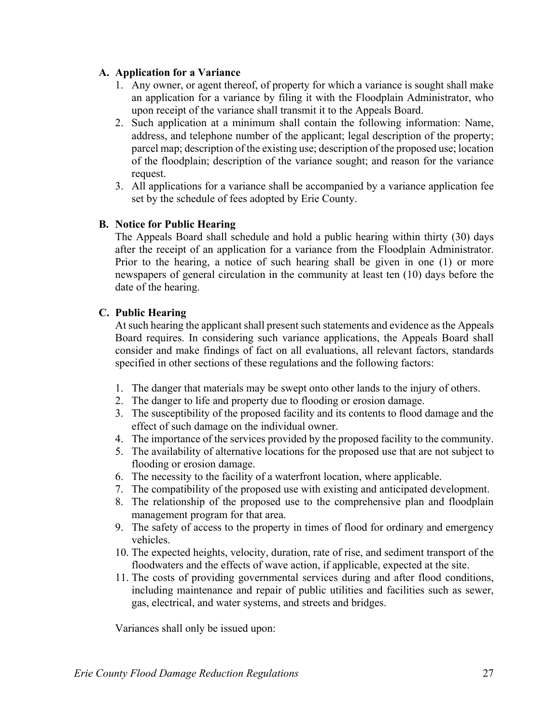### **A. Application for a Variance**

- 1. Any owner, or agent thereof, of property for which a variance is sought shall make an application for a variance by filing it with the Floodplain Administrator, who upon receipt of the variance shall transmit it to the Appeals Board.
- 2. Such application at a minimum shall contain the following information: Name, address, and telephone number of the applicant; legal description of the property; parcel map; description of the existing use; description of the proposed use; location of the floodplain; description of the variance sought; and reason for the variance request.
- 3. All applications for a variance shall be accompanied by a variance application fee set by the schedule of fees adopted by Erie County.

# **B. Notice for Public Hearing**

The Appeals Board shall schedule and hold a public hearing within thirty (30) days after the receipt of an application for a variance from the Floodplain Administrator. Prior to the hearing, a notice of such hearing shall be given in one (1) or more newspapers of general circulation in the community at least ten (10) days before the date of the hearing.

### **C. Public Hearing**

At such hearing the applicant shall present such statements and evidence as the Appeals Board requires. In considering such variance applications, the Appeals Board shall consider and make findings of fact on all evaluations, all relevant factors, standards specified in other sections of these regulations and the following factors:

- 1. The danger that materials may be swept onto other lands to the injury of others.
- 2. The danger to life and property due to flooding or erosion damage.
- 3. The susceptibility of the proposed facility and its contents to flood damage and the effect of such damage on the individual owner.
- 4. The importance of the services provided by the proposed facility to the community.
- 5. The availability of alternative locations for the proposed use that are not subject to flooding or erosion damage.
- 6. The necessity to the facility of a waterfront location, where applicable.
- 7. The compatibility of the proposed use with existing and anticipated development.
- 8. The relationship of the proposed use to the comprehensive plan and floodplain management program for that area.
- 9. The safety of access to the property in times of flood for ordinary and emergency vehicles.
- 10. The expected heights, velocity, duration, rate of rise, and sediment transport of the floodwaters and the effects of wave action, if applicable, expected at the site.
- 11. The costs of providing governmental services during and after flood conditions, including maintenance and repair of public utilities and facilities such as sewer, gas, electrical, and water systems, and streets and bridges.

Variances shall only be issued upon: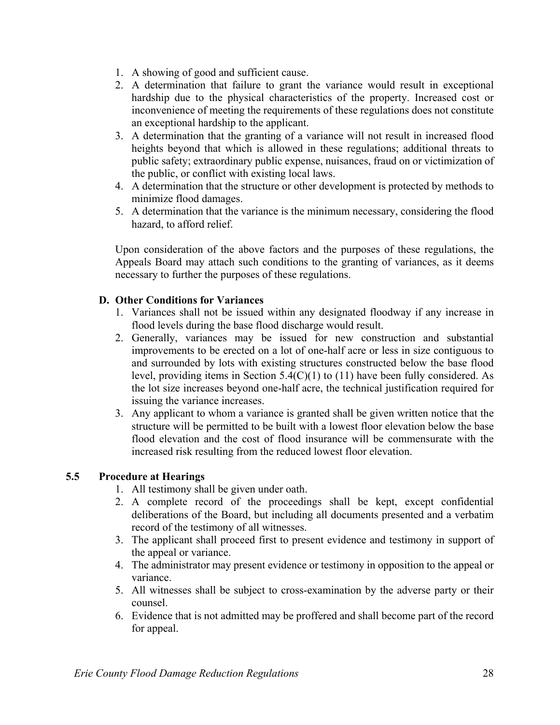- 1. A showing of good and sufficient cause.
- 2. A determination that failure to grant the variance would result in exceptional hardship due to the physical characteristics of the property. Increased cost or inconvenience of meeting the requirements of these regulations does not constitute an exceptional hardship to the applicant.
- 3. A determination that the granting of a variance will not result in increased flood heights beyond that which is allowed in these regulations; additional threats to public safety; extraordinary public expense, nuisances, fraud on or victimization of the public, or conflict with existing local laws.
- 4. A determination that the structure or other development is protected by methods to minimize flood damages.
- 5. A determination that the variance is the minimum necessary, considering the flood hazard, to afford relief.

Upon consideration of the above factors and the purposes of these regulations, the Appeals Board may attach such conditions to the granting of variances, as it deems necessary to further the purposes of these regulations.

# **D. Other Conditions for Variances**

- 1. Variances shall not be issued within any designated floodway if any increase in flood levels during the base flood discharge would result.
- 2. Generally, variances may be issued for new construction and substantial improvements to be erected on a lot of one-half acre or less in size contiguous to and surrounded by lots with existing structures constructed below the base flood level, providing items in Section 5.4(C)(1) to (11) have been fully considered. As the lot size increases beyond one-half acre, the technical justification required for issuing the variance increases.
- 3. Any applicant to whom a variance is granted shall be given written notice that the structure will be permitted to be built with a lowest floor elevation below the base flood elevation and the cost of flood insurance will be commensurate with the increased risk resulting from the reduced lowest floor elevation.

# **5.5 Procedure at Hearings**

- 1. All testimony shall be given under oath.
- 2. A complete record of the proceedings shall be kept, except confidential deliberations of the Board, but including all documents presented and a verbatim record of the testimony of all witnesses.
- 3. The applicant shall proceed first to present evidence and testimony in support of the appeal or variance.
- 4. The administrator may present evidence or testimony in opposition to the appeal or variance.
- 5. All witnesses shall be subject to cross-examination by the adverse party or their counsel.
- 6. Evidence that is not admitted may be proffered and shall become part of the record for appeal.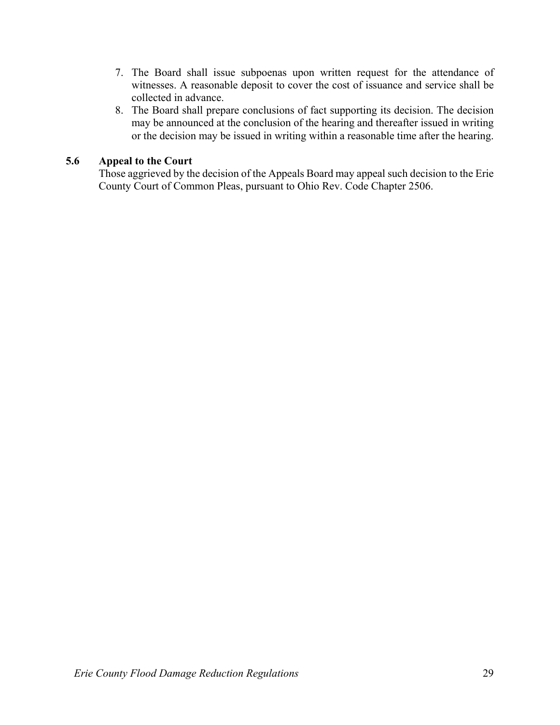- 7. The Board shall issue subpoenas upon written request for the attendance of witnesses. A reasonable deposit to cover the cost of issuance and service shall be collected in advance.
- 8. The Board shall prepare conclusions of fact supporting its decision. The decision may be announced at the conclusion of the hearing and thereafter issued in writing or the decision may be issued in writing within a reasonable time after the hearing.

## **5.6 Appeal to the Court**

Those aggrieved by the decision of the Appeals Board may appeal such decision to the Erie County Court of Common Pleas, pursuant to Ohio Rev. Code Chapter 2506.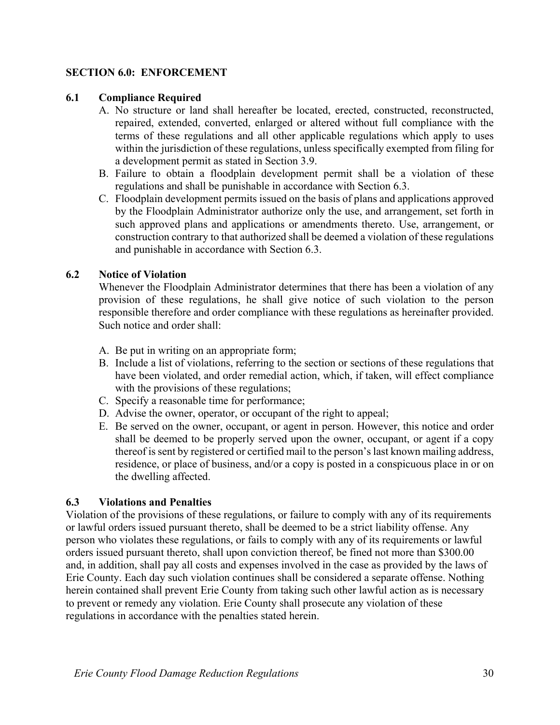## **SECTION 6.0: ENFORCEMENT**

#### **6.1 Compliance Required**

- A. No structure or land shall hereafter be located, erected, constructed, reconstructed, repaired, extended, converted, enlarged or altered without full compliance with the terms of these regulations and all other applicable regulations which apply to uses within the jurisdiction of these regulations, unless specifically exempted from filing for a development permit as stated in Section 3.9.
- B. Failure to obtain a floodplain development permit shall be a violation of these regulations and shall be punishable in accordance with Section 6.3.
- C. Floodplain development permits issued on the basis of plans and applications approved by the Floodplain Administrator authorize only the use, and arrangement, set forth in such approved plans and applications or amendments thereto. Use, arrangement, or construction contrary to that authorized shall be deemed a violation of these regulations and punishable in accordance with Section 6.3.

### **6.2 Notice of Violation**

Whenever the Floodplain Administrator determines that there has been a violation of any provision of these regulations, he shall give notice of such violation to the person responsible therefore and order compliance with these regulations as hereinafter provided. Such notice and order shall:

- A. Be put in writing on an appropriate form;
- B. Include a list of violations, referring to the section or sections of these regulations that have been violated, and order remedial action, which, if taken, will effect compliance with the provisions of these regulations;
- C. Specify a reasonable time for performance;
- D. Advise the owner, operator, or occupant of the right to appeal;
- E. Be served on the owner, occupant, or agent in person. However, this notice and order shall be deemed to be properly served upon the owner, occupant, or agent if a copy thereof is sent by registered or certified mail to the person's last known mailing address, residence, or place of business, and/or a copy is posted in a conspicuous place in or on the dwelling affected.

#### **6.3 Violations and Penalties**

Violation of the provisions of these regulations, or failure to comply with any of its requirements or lawful orders issued pursuant thereto, shall be deemed to be a strict liability offense. Any person who violates these regulations, or fails to comply with any of its requirements or lawful orders issued pursuant thereto, shall upon conviction thereof, be fined not more than \$300.00 and, in addition, shall pay all costs and expenses involved in the case as provided by the laws of Erie County. Each day such violation continues shall be considered a separate offense. Nothing herein contained shall prevent Erie County from taking such other lawful action as is necessary to prevent or remedy any violation. Erie County shall prosecute any violation of these regulations in accordance with the penalties stated herein.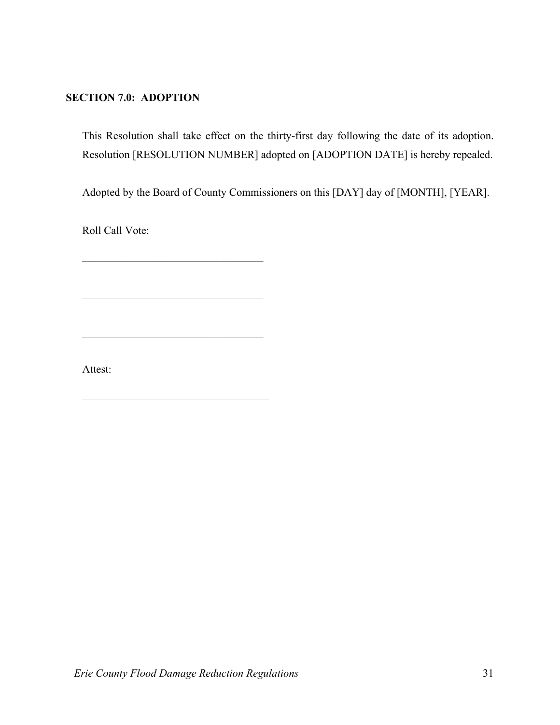# **SECTION 7.0: ADOPTION**

This Resolution shall take effect on the thirty-first day following the date of its adoption. Resolution [RESOLUTION NUMBER] adopted on [ADOPTION DATE] is hereby repealed.

Adopted by the Board of County Commissioners on this [DAY] day of [MONTH], [YEAR].

Roll Call Vote:

Attest: